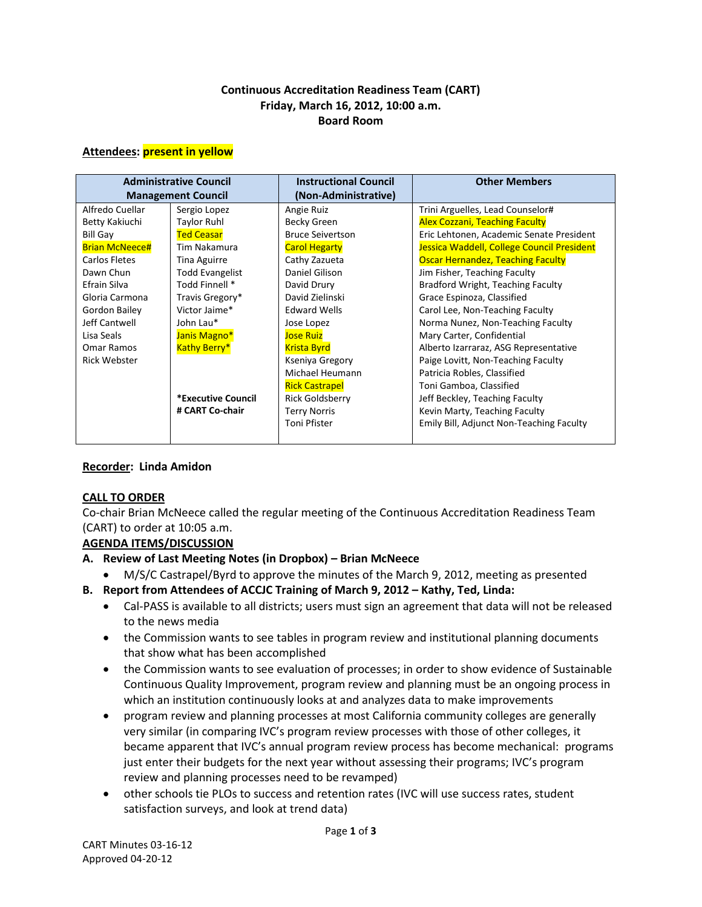## **Continuous Accreditation Readiness Team (CART) Friday, March 16, 2012, 10:00 a.m. Board Room**

#### **Attendees: present in yellow**

| <b>Administrative Council</b> |                        | <b>Instructional Council</b> | <b>Other Members</b>                       |
|-------------------------------|------------------------|------------------------------|--------------------------------------------|
| <b>Management Council</b>     |                        | (Non-Administrative)         |                                            |
| Alfredo Cuellar               | Sergio Lopez           | Angie Ruiz                   | Trini Arguelles, Lead Counselor#           |
| Betty Kakiuchi                | <b>Taylor Ruhl</b>     | Becky Green                  | <b>Alex Cozzani, Teaching Faculty</b>      |
| <b>Bill Gay</b>               | <b>Ted Ceasar</b>      | <b>Bruce Seivertson</b>      | Eric Lehtonen, Academic Senate President   |
| <b>Brian McNeece#</b>         | Tim Nakamura           | <b>Carol Hegarty</b>         | Jessica Waddell, College Council President |
| Carlos Fletes                 | Tina Aguirre           | Cathy Zazueta                | <b>Oscar Hernandez, Teaching Faculty</b>   |
| Dawn Chun                     | <b>Todd Evangelist</b> | Daniel Gilison               | Jim Fisher, Teaching Faculty               |
| Efrain Silva                  | Todd Finnell *         | David Drury                  | Bradford Wright, Teaching Faculty          |
| Gloria Carmona                | Travis Gregory*        | David Zielinski              | Grace Espinoza, Classified                 |
| Gordon Bailey                 | Victor Jaime*          | <b>Edward Wells</b>          | Carol Lee, Non-Teaching Faculty            |
| Jeff Cantwell                 | John Lau*              | Jose Lopez                   | Norma Nunez, Non-Teaching Faculty          |
| Lisa Seals                    | Janis Magno*           | <b>Jose Ruiz</b>             | Mary Carter, Confidential                  |
| Omar Ramos                    | <b>Kathy Berry*</b>    | <b>Krista Byrd</b>           | Alberto Izarraraz, ASG Representative      |
| <b>Rick Webster</b>           |                        | Kseniya Gregory              | Paige Lovitt, Non-Teaching Faculty         |
|                               |                        | Michael Heumann              | Patricia Robles, Classified                |
|                               |                        | <b>Rick Castrapel</b>        | Toni Gamboa, Classified                    |
|                               | *Executive Council     | <b>Rick Goldsberry</b>       | Jeff Beckley, Teaching Faculty             |
|                               | # CART Co-chair        | <b>Terry Norris</b>          | Kevin Marty, Teaching Faculty              |
|                               |                        | Toni Pfister                 | Emily Bill, Adjunct Non-Teaching Faculty   |

## **Recorder: Linda Amidon**

## **CALL TO ORDER**

Co-chair Brian McNeece called the regular meeting of the Continuous Accreditation Readiness Team (CART) to order at 10:05 a.m.

## **AGENDA ITEMS/DISCUSSION**

- **A. Review of Last Meeting Notes (in Dropbox) – Brian McNeece**
	- M/S/C Castrapel/Byrd to approve the minutes of the March 9, 2012, meeting as presented
- **B. Report from Attendees of ACCJC Training of March 9, 2012 – Kathy, Ted, Linda:**
	- Cal-PASS is available to all districts; users must sign an agreement that data will not be released to the news media
	- the Commission wants to see tables in program review and institutional planning documents that show what has been accomplished
	- the Commission wants to see evaluation of processes; in order to show evidence of Sustainable Continuous Quality Improvement, program review and planning must be an ongoing process in which an institution continuously looks at and analyzes data to make improvements
	- program review and planning processes at most California community colleges are generally very similar (in comparing IVC's program review processes with those of other colleges, it became apparent that IVC's annual program review process has become mechanical: programs just enter their budgets for the next year without assessing their programs; IVC's program review and planning processes need to be revamped)
	- other schools tie PLOs to success and retention rates (IVC will use success rates, student satisfaction surveys, and look at trend data)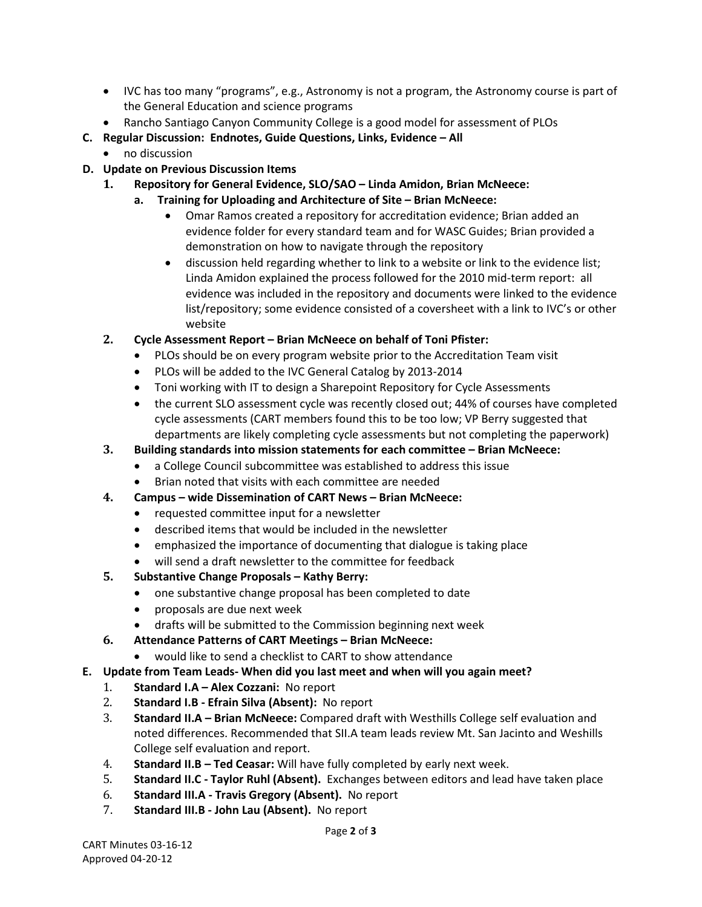- IVC has too many "programs", e.g., Astronomy is not a program, the Astronomy course is part of the General Education and science programs
- Rancho Santiago Canyon Community College is a good model for assessment of PLOs
- **C. Regular Discussion: Endnotes, Guide Questions, Links, Evidence – All**
	- no discussion
- **D. Update on Previous Discussion Items**
	- **1. Repository for General Evidence, SLO/SAO – Linda Amidon, Brian McNeece:**
		- **a. Training for Uploading and Architecture of Site – Brian McNeece:**
			- Omar Ramos created a repository for accreditation evidence; Brian added an evidence folder for every standard team and for WASC Guides; Brian provided a demonstration on how to navigate through the repository
			- discussion held regarding whether to link to a website or link to the evidence list; Linda Amidon explained the process followed for the 2010 mid-term report: all evidence was included in the repository and documents were linked to the evidence list/repository; some evidence consisted of a coversheet with a link to IVC's or other website
	- **2. Cycle Assessment Report – Brian McNeece on behalf of Toni Pfister:**
		- PLOs should be on every program website prior to the Accreditation Team visit
		- PLOs will be added to the IVC General Catalog by 2013-2014
		- Toni working with IT to design a Sharepoint Repository for Cycle Assessments
		- the current SLO assessment cycle was recently closed out; 44% of courses have completed cycle assessments (CART members found this to be too low; VP Berry suggested that departments are likely completing cycle assessments but not completing the paperwork)
	- **3. Building standards into mission statements for each committee – Brian McNeece:**
		- a College Council subcommittee was established to address this issue
		- Brian noted that visits with each committee are needed
	- **4. Campus – wide Dissemination of CART News – Brian McNeece:**
		- requested committee input for a newsletter
		- described items that would be included in the newsletter
		- emphasized the importance of documenting that dialogue is taking place
		- will send a draft newsletter to the committee for feedback
	- **5. Substantive Change Proposals – Kathy Berry:**
		- one substantive change proposal has been completed to date
		- proposals are due next week
		- drafts will be submitted to the Commission beginning next week
	- **6. Attendance Patterns of CART Meetings – Brian McNeece:**
		- would like to send a checklist to CART to show attendance
- **E. Update from Team Leads- When did you last meet and when will you again meet?** 
	- 1. **Standard I.A – Alex Cozzani:** No report
	- 2. **Standard I.B - Efrain Silva (Absent):** No report
	- 3. **Standard II.A – Brian McNeece:** Compared draft with Westhills College self evaluation and noted differences. Recommended that SII.A team leads review Mt. San Jacinto and Weshills College self evaluation and report.
	- 4. **Standard II.B – Ted Ceasar:** Will have fully completed by early next week.
	- 5. **Standard II.C - Taylor Ruhl (Absent).** Exchanges between editors and lead have taken place
	- 6. **Standard III.A - Travis Gregory (Absent).** No report
	- 7. **Standard III.B - John Lau (Absent).** No report